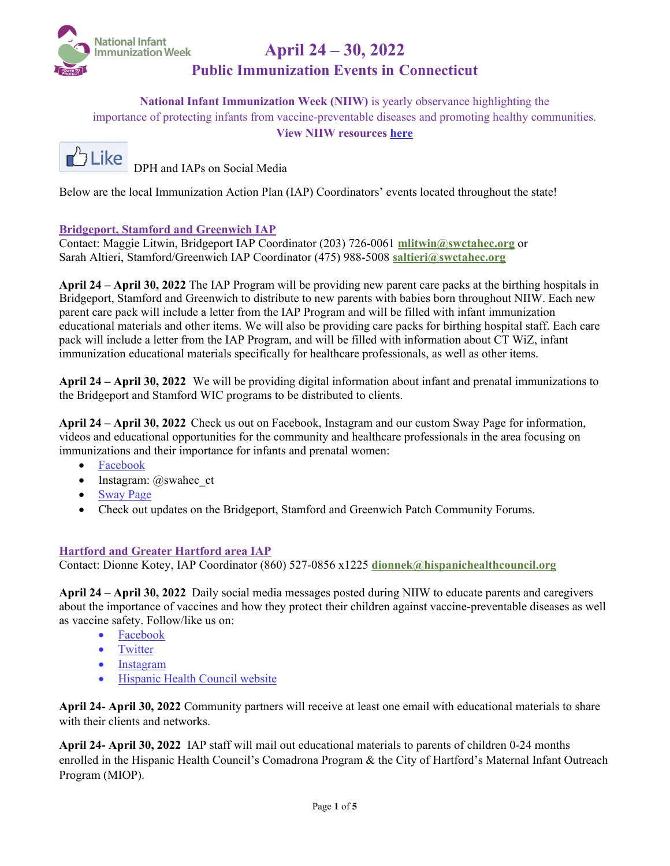

## **Public Immunization Events in Connecticut**

**National Infant Immunization Week (NIIW)** is yearly observance highlighting the importance of protecting infants from vaccine-preventable diseases and promoting healthy communities. **View NIIW resources [here](https://www.cdc.gov/vaccines/events/niiw/index.html)**



**DPH**and **IAPs** on Social Media

Below are the local Immunization Action Plan (IAP) Coordinators' events located throughout the state!

#### **Bridgeport, Stamford and Greenwich IAP**

Contact: Maggie Litwin, Bridgeport IAP Coordinator (203) 726-0061 **mlitwin@swctahec.org** or Sarah Altieri, Stamford/Greenwich IAP Coordinator (475) 988-5008 **saltieri@swctahec.org**

**April 24 – April 30, 2022** The IAP Program will be providing new parent care packs at the birthing hospitals in Bridgeport, Stamford and Greenwich to distribute to new parents with babies born throughout NIIW. Each new parent care pack will include a letter from the IAP Program and will be filled with infant immunization educational materials and other items. We will also be providing care packs for birthing hospital staff. Each care pack will include a letter from the IAP Program, and will be filled with information about CT WiZ, infant immunization educational materials specifically for healthcare professionals, as well as other items.

**April 24 – April 30, 2022** We will be providing digital information about infant and prenatal immunizations to the Bridgeport and Stamford WIC programs to be distributed to clients.

**April 24 – April 30, 2022** Check us out on Facebook, Instagram and our custom Sway Page for information, videos and educational opportunities for the community and healthcare professionals in the area focusing on immunizations and their importance for infants and prenatal women:

- [Facebook](https://www.facebook.com/SouthwesternAHEC/)
- Instagram: @swahec\_ct
- [Sway Page](https://sway.office.com/HmA3g3rCl12Ev9c3?ref=Link)
- Check out updates on the Bridgeport, Stamford and Greenwich Patch Community Forums.

#### **Hartford and Greater Hartford area IAP**

Contact: Dionne Kotey, IAP Coordinator (860) 527-0856 x1225 **dionnek@hispanichealthcouncil.org**

**April 24 – April 30, 2022** Daily social media messages posted during NIIW to educate parents and caregivers about the importance of vaccines and how they protect their children against vaccine-preventable diseases as well as vaccine safety. Follow/like us on:

- [Facebook](https://gcc02.safelinks.protection.outlook.com/?url=https%3A%2F%2Fwww.facebook.com%2FHispanicHealthCouncil%2F&data=04%7C01%7CYelena.Puzio%40ct.gov%7C9164dadd8d4345dd2f1008da11b7f34e%7C118b7cfaa3dd48b9b02631ff69bb738b%7C0%7C0%7C637841779015517667%7CUnknown%7CTWFpbGZsb3d8eyJWIjoiMC4wLjAwMDAiLCJQIjoiV2luMzIiLCJBTiI6Ik1haWwiLCJXVCI6Mn0%3D%7C3000&sdata=tZAKNelAJbi%2B7GXycvO3uG5vgZn57fXpGtJo7uj7wMU%3D&reserved=0)
- [Twitter](https://gcc02.safelinks.protection.outlook.com/?url=https%3A%2F%2Ftwitter.com%2Fhisphealth_ct&data=04%7C01%7CYelena.Puzio%40ct.gov%7C9164dadd8d4345dd2f1008da11b7f34e%7C118b7cfaa3dd48b9b02631ff69bb738b%7C0%7C0%7C637841779015517667%7CUnknown%7CTWFpbGZsb3d8eyJWIjoiMC4wLjAwMDAiLCJQIjoiV2luMzIiLCJBTiI6Ik1haWwiLCJXVCI6Mn0%3D%7C3000&sdata=Fh7xA0jO5FQTeKVEW7KRN6drcXM1J4Rl0OCcllTANmg%3D&reserved=0)
- [Instagram](https://gcc02.safelinks.protection.outlook.com/?url=https%3A%2F%2Fwww.instagram.com%2Fhispanichealthcouncil_ct%2F&data=04%7C01%7CYelena.Puzio%40ct.gov%7C9164dadd8d4345dd2f1008da11b7f34e%7C118b7cfaa3dd48b9b02631ff69bb738b%7C0%7C0%7C637841779015517667%7CUnknown%7CTWFpbGZsb3d8eyJWIjoiMC4wLjAwMDAiLCJQIjoiV2luMzIiLCJBTiI6Ik1haWwiLCJXVCI6Mn0%3D%7C3000&sdata=SmMRiYi5I10l52lifTjOyXGZ5BfbTHf8AY4MZrYXMVQ%3D&reserved=0)
- [Hispanic Health Council website](https://gcc02.safelinks.protection.outlook.com/?url=https%3A%2F%2Fwww.hispanichealthcouncil.org%2F&data=04%7C01%7CYelena.Puzio%40ct.gov%7C9164dadd8d4345dd2f1008da11b7f34e%7C118b7cfaa3dd48b9b02631ff69bb738b%7C0%7C0%7C637841779015517667%7CUnknown%7CTWFpbGZsb3d8eyJWIjoiMC4wLjAwMDAiLCJQIjoiV2luMzIiLCJBTiI6Ik1haWwiLCJXVCI6Mn0%3D%7C3000&sdata=%2Fi4ADcyfQmFVsGFS8BFkRKcV1yJnigJ7Oqf8f83kgJ0%3D&reserved=0)

**April 24- April 30, 2022** Community partners will receive at least one email with educational materials to share with their clients and networks.

**April 24- April 30, 2022** IAP staff will mail out educational materials to parents of children 0-24 months enrolled in the Hispanic Health Council's Comadrona Program & the City of Hartford's Maternal Infant Outreach Program (MIOP).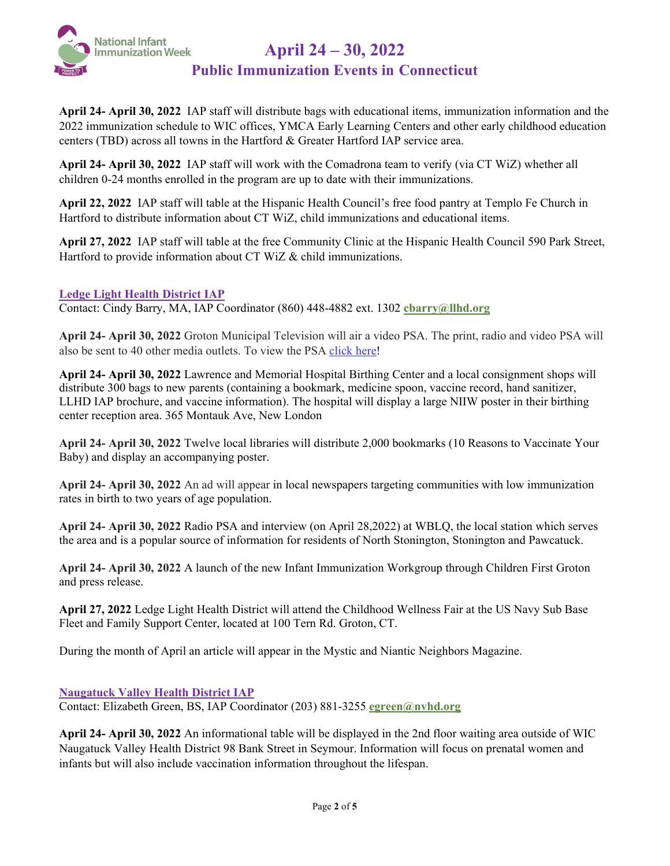

## **Public Immunization Events in Connecticut**

**April 24- April 30, 2022** IAP staff will distribute bags with educational items, immunization information and the 2022 immunization schedule to WIC offices, YMCA Early Learning Centers and other early childhood education centers (TBD) across all towns in the Hartford & Greater Hartford IAP service area.

**April 24- April 30, 2022** IAP staff will work with the Comadrona team to verify (via CT WiZ) whether all children 0-24 months enrolled in the program are up to date with their immunizations.

**April 22, 2022** IAP staff will table at the Hispanic Health Council's free food pantry at Templo Fe Church in Hartford to distribute information about CT WiZ, child immunizations and educational items.

**April 27, 2022** IAP staff will table at the free Community Clinic at the Hispanic Health Council 590 Park Street, Hartford to provide information about CT WiZ & child immunizations.

#### **Ledge Light Health District IAP**

Contact: Cindy Barry, MA, IAP Coordinator [\(860\) 448-4882 ext. 13](tel:860.448.4882;307)02 **cbarry@llhd.org**

**April 24- April 30, 2022** Groton Municipal Television will air a video PSA. The print, radio and video PSA will also be sent to 40 other media outlets. To view the PSA [click here!](https://youtu.be/VcgC8MHW67c)

**April 24- April 30, 2022** Lawrence and Memorial Hospital Birthing Center and a local consignment shops will distribute 300 bags to new parents (containing a bookmark, medicine spoon, vaccine record, hand sanitizer, LLHD IAP brochure, and vaccine information). The hospital will display a large NIIW poster in their birthing center reception area. 365 Montauk Ave, New London

**April 24- April 30, 2022** Twelve local libraries will distribute 2,000 bookmarks (10 Reasons to Vaccinate Your Baby) and display an accompanying poster.

**April 24- April 30, 2022** An ad will appear in local newspapers targeting communities with low immunization rates in birth to two years of age population.

**April 24- April 30, 2022** Radio PSA and interview (on April 28,2022) at WBLQ, the local station which serves the area and is a popular source of information for residents of North Stonington, Stonington and Pawcatuck.

**April 24- April 30, 2022** A launch of the new Infant Immunization Workgroup through Children First Groton and press release.

**April 27, 2022** Ledge Light Health District will attend the Childhood Wellness Fair at the US Navy Sub Base Fleet and Family Support Center, located at 100 Tern Rd. Groton, CT.

During the month of April an article will appear in the Mystic and Niantic Neighbors Magazine.

**Naugatuck Valley Health District IAP**

Contact: Elizabeth Green, BS, IAP Coordinator (203) 881-3255 **egreen@nvhd.org**

**April 24- April 30, 2022** An informational table will be displayed in the 2nd floor waiting area outside of WIC Naugatuck Valley Health District 98 Bank Street in Seymour. Information will focus on prenatal women and infants but will also include vaccination information throughout the lifespan.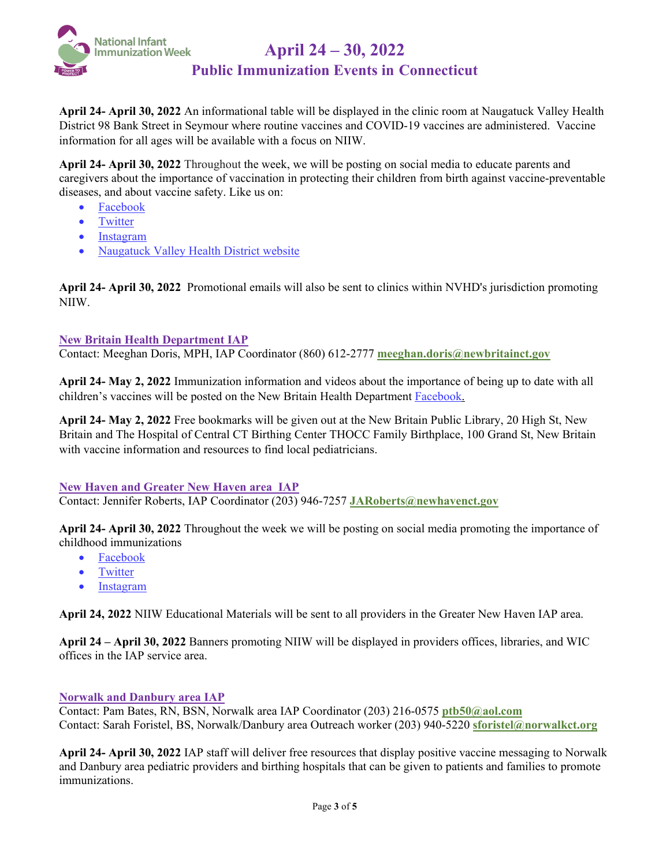

## **Public Immunization Events in Connecticut**

**April 24- April 30, 2022** An informational table will be displayed in the clinic room at Naugatuck Valley Health District 98 Bank Street in Seymour where routine vaccines and COVID-19 vaccines are administered. Vaccine information for all ages will be available with a focus on NIIW.

**April 24- April 30, 2022** Throughout the week, we will be posting on social media to educate parents and caregivers about the importance of vaccination in protecting their children from birth against vaccine-preventable diseases, and about vaccine safety. Like us on:

- [Facebook](https://www.facebook.com/NaugatuckValleyHD/)
- [Twitter](https://twitter.com/NaugValleyHD)
- [Instagram](https://www.instagram.com/naugatcukvalleyhd)
- [Naugatuck Valley Health District website](http://www.nvhd.org/)

**April 24- April 30, 2022** Promotional emails will also be sent to clinics within NVHD's jurisdiction promoting NIIW.

#### **New Britain Health Department IAP**

Contact: Meeghan Doris, MPH, IAP Coordinator (860) 612-2777 **meeghan.doris@newbritainct.gov**

**April 24- May 2, 2022** Immunization information and videos about the importance of being up to date with all children's vaccines will be posted on the New Britain Health Department [Facebook.](https://www.facebook.com/NewBritainCT)

**April 24- May 2, 2022** Free bookmarks will be given out at the New Britain Public Library, 20 High St, New Britain and The Hospital of Central CT Birthing Center THOCC Family Birthplace, 100 Grand St, New Britain with vaccine information and resources to find local pediatricians.

#### **New Haven and Greater New Haven area IAP**

Contact: Jennifer Roberts, IAP Coordinator (203) 946-7257 **JARoberts@newhavenct.gov**

**April 24- April 30, 2022** Throughout the week we will be posting on social media promoting the importance of childhood immunizations

- [Facebook](https://www.facebook.com/NHPublicHealth)
- [Twitter](https://twitter.com/NHPublicHealth)
- [Instagram](https://instagram.com/nhpublichealth?utm_medium=copy_link)

**April 24, 2022** NIIW Educational Materials will be sent to all providers in the Greater New Haven IAP area.

**April 24 – April 30, 2022** Banners promoting NIIW will be displayed in providers offices, libraries, and WIC offices in the IAP service area.

#### **Norwalk and Danbury area IAP**

Contact: Pam Bates, RN, BSN, Norwalk area IAP Coordinator (203) 216-0575 **ptb50@aol.com** Contact: Sarah Foristel, BS, Norwalk/Danbury area Outreach worker (203) 940-5220 **sforistel@norwalkct.org**

**April 24- April 30, 2022** IAP staff will deliver free resources that display positive vaccine messaging to Norwalk and Danbury area pediatric providers and birthing hospitals that can be given to patients and families to promote immunizations.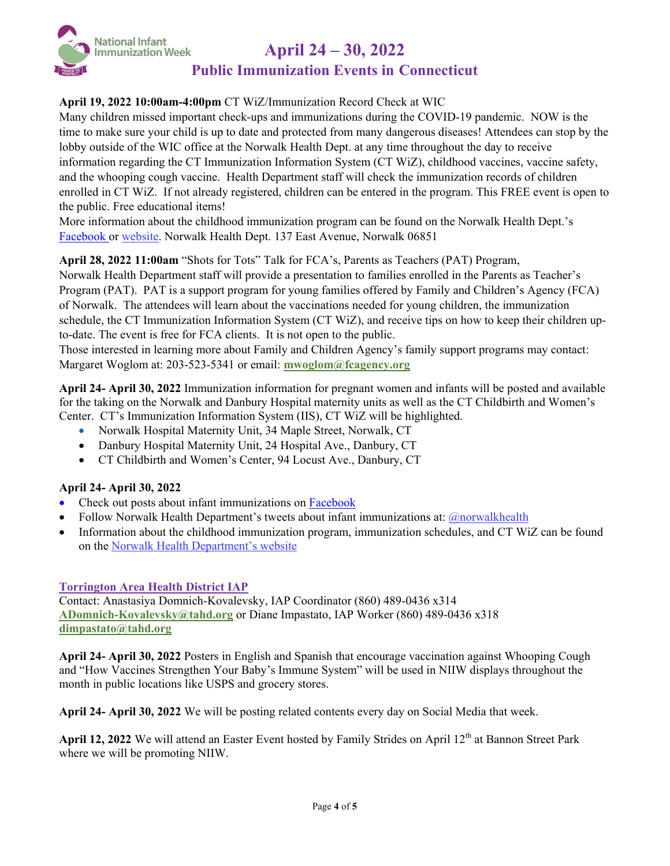

## **Public Immunization Events in Connecticut**

## **April 19, 2022 10:00am-4:00pm** CT WiZ/Immunization Record Check at WIC

Many children missed important check-ups and immunizations during the COVID-19 pandemic. NOW is the time to make sure your child is up to date and protected from many dangerous diseases! Attendees can stop by the lobby outside of the WIC office at the Norwalk Health Dept. at any time throughout the day to receive information regarding the CT Immunization Information System (CT WiZ), childhood vaccines, vaccine safety, and the whooping cough vaccine. Health Department staff will check the immunization records of children enrolled in CT WiZ. If not already registered, children can be entered in the program. This FREE event is open to the public. Free educational items!

More information about the childhood immunization program can be found on the Norwalk Health Dept.'s [Facebook](https://www.facebook.com/norwalkhealth) or [website.](http://www.norwalkct.org/health) Norwalk Health Dept. 137 East Avenue, Norwalk 06851

#### **April 28, 2022 11:00am** "Shots for Tots" Talk for FCA's, Parents as Teachers (PAT) Program,

Norwalk Health Department staff will provide a presentation to families enrolled in the Parents as Teacher's Program (PAT). PAT is a support program for young families offered by Family and Children's Agency (FCA) of Norwalk. The attendees will learn about the vaccinations needed for young children, the immunization schedule, the CT Immunization Information System (CT WiZ), and receive tips on how to keep their children upto-date. The event is free for FCA clients. It is not open to the public.

Those interested in learning more about Family and Children Agency's family support programs may contact: Margaret Woglom at: 203-523-5341 or email: **mwoglom@fcagency.org**

**April 24- April 30, 2022** Immunization information for pregnant women and infants will be posted and available for the taking on the Norwalk and Danbury Hospital maternity units as well as the CT Childbirth and Women's Center. CT's Immunization Information System (IIS), CT WiZ will be highlighted.

- Norwalk Hospital Maternity Unit, 34 Maple Street, Norwalk, CT
- Danbury Hospital Maternity Unit, 24 Hospital Ave., Danbury, CT
- CT Childbirth and Women's Center, 94 Locust Ave., Danbury, CT

#### **April 24- April 30, 2022**

- Check out posts about infant immunizations on [Facebook](https://www.facebook.com/norwalkhealth)
- Follow Norwalk Health Department's tweets about infant immunizations at:  $\omega$  norwalkhealth
- Information about the childhood immunization program, immunization schedules, and CT WiZ can be found on the [Norwalk Health Department's website](http://www.norwalkct.org/health)

#### **Torrington Area Health District IAP**

Contact: Anastasiya Domnich-Kovalevsky, IAP Coordinator (860) 489-0436 x314 **ADomnich-Kovalevsky@tahd.org** or Diane Impastato, IAP Worker (860) 489-0436 x318 **dimpastato@tahd.org**

**April 24- April 30, 2022** Posters in English and Spanish that encourage vaccination against Whooping Cough and "How Vaccines Strengthen Your Baby's Immune System" will be used in NIIW displays throughout the month in public locations like USPS and grocery stores.

**April 24- April 30, 2022** We will be posting related contents every day on Social Media that week.

April 12, 2022 We will attend an Easter Event hosted by Family Strides on April 12<sup>th</sup> at Bannon Street Park where we will be promoting NIIW.